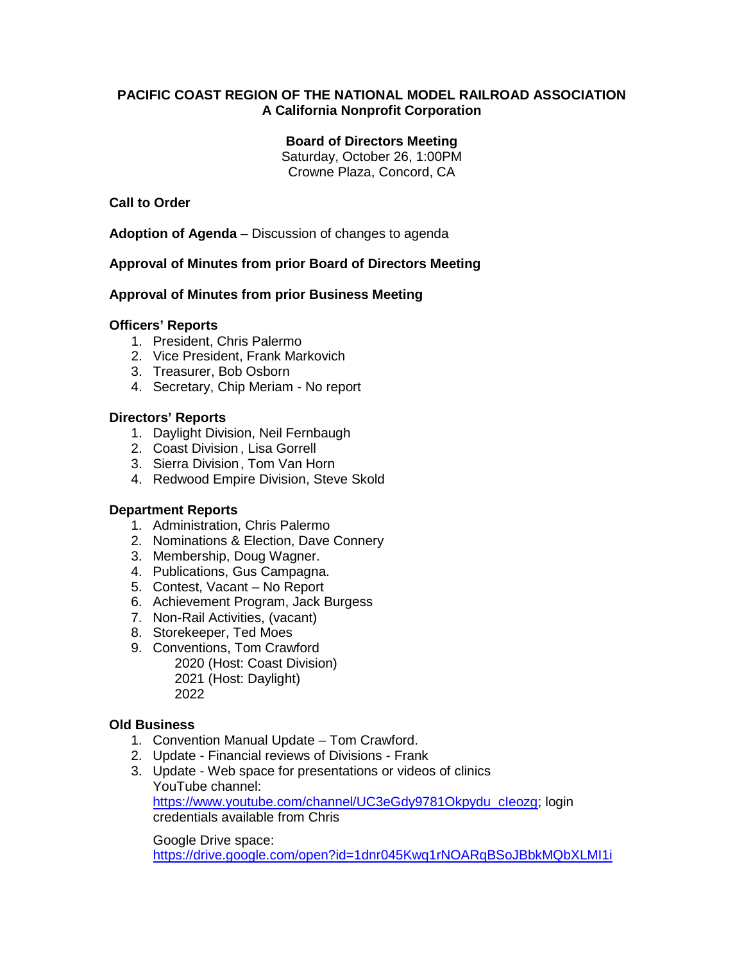# **PACIFIC COAST REGION OF THE NATIONAL MODEL RAILROAD ASSOCIATION A California Nonprofit Corporation**

## **Board of Directors Meeting**

Saturday, October 26, 1:00PM Crowne Plaza, Concord, CA

# **Call to Order**

**Adoption of Agenda** – Discussion of changes to agenda

# **Approval of Minutes from prior Board of Directors Meeting**

## **Approval of Minutes from prior Business Meeting**

## **Officers' Reports**

- 1. President, Chris Palermo
- 2. Vice President, Frank Markovich
- 3. Treasurer, Bob Osborn
- 4. Secretary, Chip Meriam No report

## **Directors' Reports**

- 1. Daylight Division, Neil Fernbaugh
- 2. Coast Division , Lisa Gorrell
- 3. Sierra Division, Tom Van Horn
- 4. Redwood Empire Division, Steve Skold

#### **Department Reports**

- 1. Administration, Chris Palermo
- 2. Nominations & Election, Dave Connery
- 3. Membership, Doug Wagner.
- 4. Publications, Gus Campagna.
- 5. Contest, Vacant No Report
- 6. Achievement Program, Jack Burgess
- 7. Non-Rail Activities, (vacant)
- 8. Storekeeper, Ted Moes
- 9. Conventions, Tom Crawford 2020 (Host: Coast Division) 2021 (Host: Daylight) 2022

#### **Old Business**

- 1. Convention Manual Update Tom Crawford.
- 2. Update Financial reviews of Divisions Frank
- 3. Update Web space for presentations or videos of clinics YouTube channel: [https://www.youtube.com/channel/UC3eGdy9781Okpydu\\_cIeozg;](https://www.youtube.com/channel/UC3eGdy9781Okpydu_cIeozg) login credentials available from Chris

Google Drive space: <https://drive.google.com/open?id=1dnr045Kwq1rNOARqBSoJBbkMQbXLMI1i>